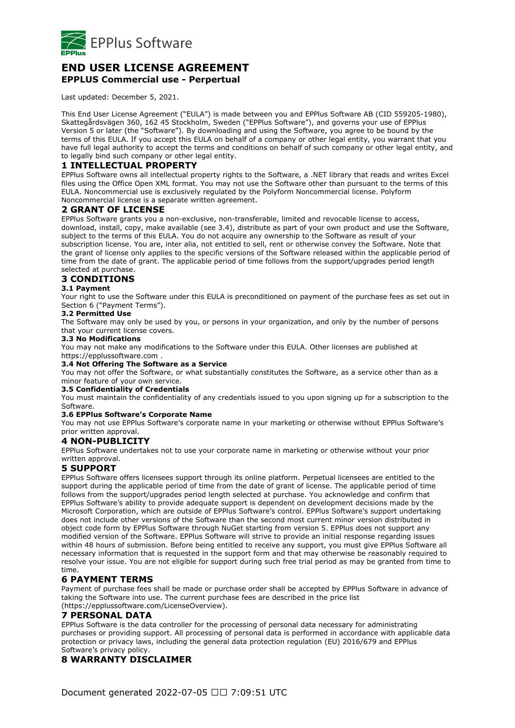

# **END USER LICENSE AGREEMENT EPPLUS Commercial use - Perpertual**

Last updated: December 5, 2021.

This End User License Agreement ("EULA") is made between you and EPPlus Software AB (CID 559205-1980), Skattegårdsvägen 360, 162 45 Stockholm, Sweden ("EPPlus Software"), and governs your use of EPPlus Version 5 or later (the "Software"). By downloading and using the Software, you agree to be bound by the terms of this EULA. If you accept this EULA on behalf of a company or other legal entity, you warrant that you have full legal authority to accept the terms and conditions on behalf of such company or other legal entity, and to legally bind such company or other legal entity.

# **1 INTELLECTUAL PROPERTY**

EPPlus Software owns all intellectual property rights to the Software, a .NET library that reads and writes Excel files using the Office Open XML format. You may not use the Software other than pursuant to the terms of this EULA. Noncommercial use is exclusively regulated by the Polyform Noncommercial license. Polyform Noncommercial license is a separate written agreement.

### **2 GRANT OF LICENSE**

EPPlus Software grants you a non-exclusive, non-transferable, limited and revocable license to access, download, install, copy, make available (see 3.4), distribute as part of your own product and use the Software, subject to the terms of this EULA. You do not acquire any ownership to the Software as result of your subscription license. You are, inter alia, not entitled to sell, rent or otherwise convey the Software. Note that the grant of license only applies to the specific versions of the Software released within the applicable period of time from the date of grant. The applicable period of time follows from the support/upgrades period length selected at purchase.

# **3 CONDITIONS**

#### **3.1 Payment**

Your right to use the Software under this EULA is preconditioned on payment of the purchase fees as set out in Section 6 ("Payment Terms").

#### **3.2 Permitted Use**

The Software may only be used by you, or persons in your organization, and only by the number of persons that your current license covers.

#### **3.3 No Modifications**

You may not make any modifications to the Software under this EULA. Other licenses are published at https://epplussoftware.com .

### **3.4 Not Offering The Software as a Service**

You may not offer the Software, or what substantially constitutes the Software, as a service other than as a minor feature of your own service.

#### **3.5 Confidentiality of Credentials**

You must maintain the confidentiality of any credentials issued to you upon signing up for a subscription to the Software.

#### **3.6 EPPlus Software's Corporate Name**

You may not use EPPlus Software's corporate name in your marketing or otherwise without EPPlus Software's prior written approval.

#### **4 NON-PUBLICITY**

EPPlus Software undertakes not to use your corporate name in marketing or otherwise without your prior written approval.

### **5 SUPPORT**

EPPlus Software offers licensees support through its online platform. Perpetual licensees are entitled to the support during the applicable period of time from the date of grant of license. The applicable period of time follows from the support/upgrades period length selected at purchase. You acknowledge and confirm that EPPlus Software's ability to provide adequate support is dependent on development decisions made by the Microsoft Corporation, which are outside of EPPlus Software's control. EPPlus Software's support undertaking does not include other versions of the Software than the second most current minor version distributed in object code form by EPPlus Software through NuGet starting from version 5. EPPlus does not support any modified version of the Software. EPPlus Software will strive to provide an initial response regarding issues within 48 hours of submission. Before being entitled to receive any support, you must give EPPlus Software all necessary information that is requested in the support form and that may otherwise be reasonably required to resolve your issue. You are not eligible for support during such free trial period as may be granted from time to time.

# **6 PAYMENT TERMS**

Payment of purchase fees shall be made or purchase order shall be accepted by EPPlus Software in advance of taking the Software into use. The current purchase fees are described in the price list

#### (https://epplussoftware.com/LicenseOverview).

### **7 PERSONAL DATA**

EPPlus Software is the data controller for the processing of personal data necessary for administrating purchases or providing support. All processing of personal data is performed in accordance with applicable data protection or privacy laws, including the general data protection regulation (EU) 2016/679 and EPPlus Software's privacy policy.

# **8 WARRANTY DISCLAIMER**